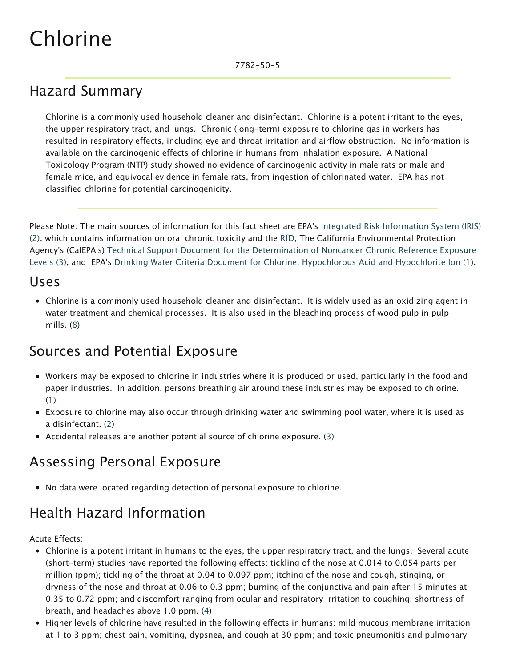# Chlorine

### Hazard Summary

Chlorine is a commonly used household cleaner and disinfectant. Chlorine is a potent irritant to the eyes, the upper respiratory tract, and lungs. Chronic (long-term) exposure to chlorine gas in workers has resulted in respiratory effects, including eye and throat irritation and airflow obstruction. No information is available on the carcinogenic effects of chlorine in humans from inhalation exposure. A National Toxicology Program (NTP) study showed no evidence of carcinogenic activity in male rats or male and female mice, and equivocal evidence in female rats, from ingestion of chlorinated water. EPA has not classified chlorine for potential carcinogenicity.

Please Note: The main sources of information for this fact sheet are EPA's Integrated Risk Information System (IRIS) (2), which contains information on oral chronic toxicity and the [RfD,](https://www.epa.gov/haps/health-effects-notebook-glossary) The California Environmental Protection Agency's (CalEPA's) Technical Support Document for the Determination of Noncancer Chronic Reference Exposure Levels (3), and EPA's Drinking Water Criteria Document for Chlorine, Hypochlorous Acid and Hypochlorite Ion (1).

#### Uses

Chlorine is a commonly used household cleaner and disinfectant. It is widely used as an oxidizing agent in water treatment and chemical processes. It is also used in the bleaching process of wood pulp in pulp mills. (8)

#### Sources and Potential Exposure

- Workers may be exposed to chlorine in industries where it is produced or used, particularly in the food and paper industries. In addition, persons breathing air around these industries may be exposed to chlorine. (1)
- Exposure to chlorine may also occur through drinking water and swimming pool water, where it is used as a disinfectant. (2)
- Accidental releases are another potential source of chlorine exposure. (3)

### Assessing Personal Exposure

No data were located regarding detection of personal exposure to chlorine.

## Health Hazard Information

Acute Effects:

- Chlorine is a potent irritant in humans to the eyes, the upper respiratory tract, and the lungs. Several acute (short-term) studies have reported the following effects: tickling of the nose at 0.014 to 0.054 parts per million (ppm); tickling of the throat at 0.04 to 0.097 ppm; itching of the nose and cough, stinging, or dryness of the nose and throat at 0.06 to 0.3 ppm; burning of the conjunctiva and pain after 15 minutes at 0.35 to 0.72 ppm; and discomfort ranging from ocular and respiratory irritation to coughing, shortness of breath, and headaches above 1.0 ppm. (4)
- Higher levels of chlorine have resulted in the following effects in humans: mild mucous membrane irritation at 1 to 3 ppm; chest pain, vomiting, dypsnea, and cough at 30 ppm; and toxic pneumonitis and pulmonary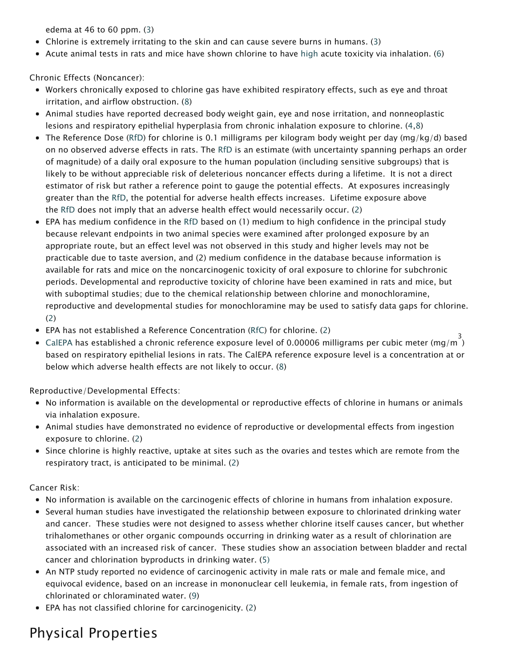edema at 46 to 60 ppm. (3)

- Chlorine is extremely irritating to the skin and can cause severe burns in humans. (3)
- Acute animal tests in rats and mice have shown chlorine to have [high](https://www.epa.gov/haps/about-health-effects-fact-sheets) acute toxicity via inhalation. (6)

Chronic Effects (Noncancer):

- Workers chronically exposed to chlorine gas have exhibited respiratory effects, such as eye and throat irritation, and airflow obstruction. (8)
- Animal studies have reported decreased body weight gain, eye and nose irritation, and nonneoplastic lesions and respiratory epithelial hyperplasia from chronic inhalation exposure to chlorine. (4,8)
- The Reference Dose [\(RfD\)](https://www.epa.gov/haps/health-effects-notebook-glossary) for chlorine is 0.1 milligrams per kilogram body weight per day (mg/kg/d) based on no observed adverse effects in rats. The [RfD](https://www.epa.gov/haps/health-effects-notebook-glossary) is an estimate (with uncertainty spanning perhaps an order of magnitude) of a daily oral exposure to the human population (including sensitive subgroups) that is likely to be without appreciable risk of deleterious noncancer effects during a lifetime. It is not a direct estimator of risk but rather a reference point to gauge the potential effects. At exposures increasingly greater than the [RfD](https://www.epa.gov/haps/health-effects-notebook-glossary), the potential for adverse health effects increases. Lifetime exposure above the [RfD](https://www.epa.gov/haps/health-effects-notebook-glossary) does not imply that an adverse health effect would necessarily occur. (2)
- EPA has medium confidence in the [RfD](https://www.epa.gov/haps/health-effects-notebook-glossary) based on (1) medium to high confidence in the principal study because relevant endpoints in two animal species were examined after prolonged exposure by an appropriate route, but an effect level was not observed in this study and higher levels may not be practicable due to taste aversion, and (2) medium confidence in the database because information is available for rats and mice on the noncarcinogenic toxicity of oral exposure to chlorine for subchronic periods. Developmental and reproductive toxicity of chlorine have been examined in rats and mice, but with suboptimal studies; due to the chemical relationship between chlorine and monochloramine, reproductive and developmental studies for monochloramine may be used to satisfy data gaps for chlorine. (2)
- EPA has not established a Reference Concentration ([RfC\)](https://www.epa.gov/haps/health-effects-notebook-glossary) for chlorine. (2)
- CalEPA has established a chronic reference exposure level of 0.00006 milligrams per cubic meter (mg/m  $^3$ based on respiratory epithelial lesions in rats. The CalEPA reference exposure level is a concentration at or below which adverse health effects are not likely to occur. (8)

Reproductive/Developmental Effects:

- No information is available on the developmental or reproductive effects of chlorine in humans or animals via inhalation exposure.
- Animal studies have demonstrated no evidence of reproductive or developmental effects from ingestion exposure to chlorine. (2)
- Since chlorine is highly reactive, uptake at sites such as the ovaries and testes which are remote from the respiratory tract, is anticipated to be minimal. (2)

Cancer Risk:

- No information is available on the carcinogenic effects of chlorine in humans from inhalation exposure.
- Several human studies have investigated the relationship between exposure to chlorinated drinking water and cancer. These studies were not designed to assess whether chlorine itself causes cancer, but whether trihalomethanes or other organic compounds occurring in drinking water as a result of chlorination are associated with an increased risk of cancer. These studies show an association between bladder and rectal cancer and chlorination byproducts in drinking water. (5)
- An NTP study reported no evidence of carcinogenic activity in male rats or male and female mice, and equivocal evidence, based on an increase in mononuclear cell leukemia, in female rats, from ingestion of chlorinated or chloraminated water. (9)
- EPA has not classified chlorine for carcinogenicity. (2)

## Physical Properties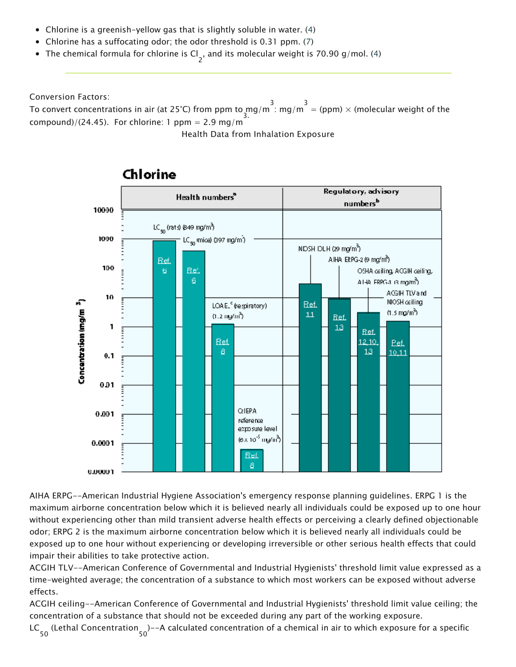- Chlorine is a greenish-yellow gas that is slightly soluble in water. (4)
- Chlorine has a suffocating odor; the odor threshold is 0.31 ppm. (7)
- The chemical formula for chlorine is Cl<sub>2</sub>, and its molecular weight is 70.90 g/mol. (4)

Conversion Factors:

To convert concentrations in air (at 25°C) from ppm to  $\frac{3}{3}$ .  $\frac{3}{3}$  mg/m  $\frac{3}{3}$  = (ppm)  $\times$  (molecular weight of the compound)/(24.45). For chlorine: 1 ppm =  $2.9 \text{ mg/m}$ 

Health Data from Inhalation Exposure



#### Chlorine

AIHA ERPG--American Industrial Hygiene Association's emergency response planning guidelines. ERPG 1 is the maximum airborne concentration below which it is believed nearly all individuals could be exposed up to one hour without experiencing other than mild transient adverse health effects or perceiving a clearly defined objectionable odor; ERPG 2 is the maximum airborne concentration below which it is believed nearly all individuals could be exposed up to one hour without experiencing or developing irreversible or other serious health effects that could impair their abilities to take protective action.

ACGIH TLV--American Conference of Governmental and Industrial Hygienists' threshold limit value expressed as a time-weighted average; the concentration of a substance to which most workers can be exposed without adverse effects.

ACGIH ceiling--American Conference of Governmental and Industrial Hygienists' threshold limit value ceiling; the concentration of a substance that should not be exceeded during any part of the working exposure.

LC 50 (Lethal Concentration 50 )--A calculated concentration of a chemical in air to which exposure for a specific